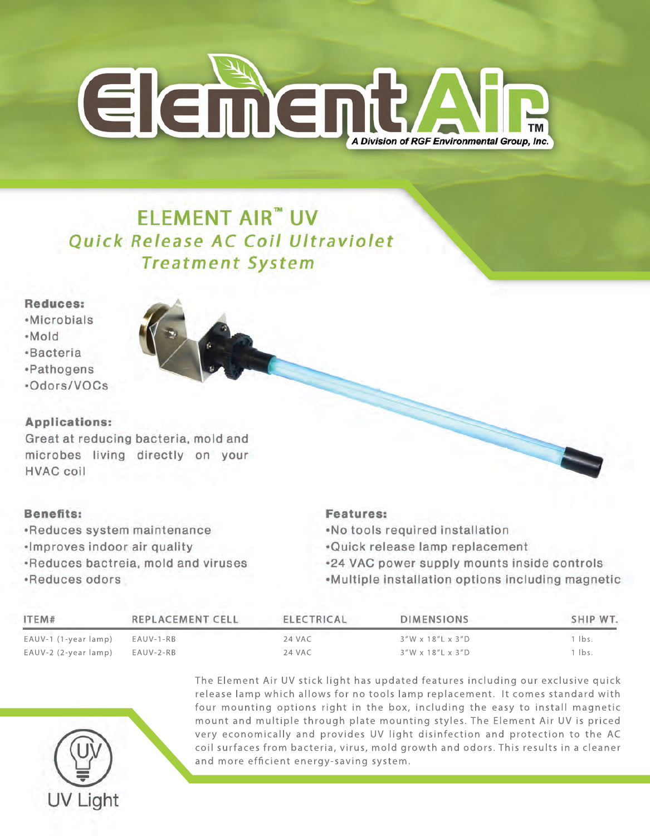

# **ELEMENT AIR<sup>"</sup> UV** Quick Release AC Coil Ultraviolet **Treatment System**

# **Bacteria** *•Pathogens* ·Odors/VOCs

Reduces: ·Microbials

·Mold



# **Applications:**

Great at reducing bacteria, mold and microbes living directly on your **HVAC coil** 

# **Benefits:**

•Reduces system maintenance ·Improves indoor air quality •Reduces bactreia, mold and viruses ·Reduces odors

# **Features:**

.No tools required installation

.Quick release lamp replacement

.24 VAC power supply mounts inside controls

•Multiple installation options including magnetic

| ITEM#                | <b>REPLACEMENT CELL</b> | ELECTRICAL | <b>DIMENSIONS</b> | SHIP WT. |
|----------------------|-------------------------|------------|-------------------|----------|
| EAUV-1 (1-year lamp) | EAUV-1-RB               | 24 VAC     | 3"W x 18"L x 3"D  | lbs.     |
| EAUV-2 (2-year lamp) | EAUV-2-RB               | 24 VAC     | 3"W x 18"L x 3"D  | 1 lbs.   |



The Element Air UV stick light has updated features including our exclusive quick release lamp which allows for no tools lamp replacement. It comes standard with four mounting options right in the box, including the easy to install magnetic mount and multiple through plate mounting styles. The Element Air UV is priced very economically and provides UV light disinfection and protection to the AC coil surfaces from bacteria, virus, mold growth and odors. This results in a cleaner and more efficient energy-saving system.